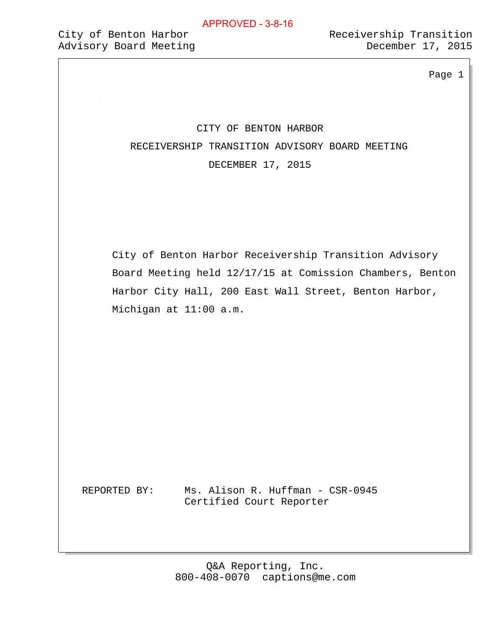Page 1

# CITY OF BENTON HARBOR RECEIVERSHIP TRANSITION ADVISORY BOARD MEETING DECEMBER 17, 2015

 City of Benton Harbor Receivership Transition Advisory Board Meeting held 12/17/15 at Comission Chambers, Benton Harbor City Hall, 200 East Wall Street, Benton Harbor, Michigan at 11:00 a.m.

REPORTED BY: Ms. Alison R. Huffman - CSR-0945 Certified Court Reporter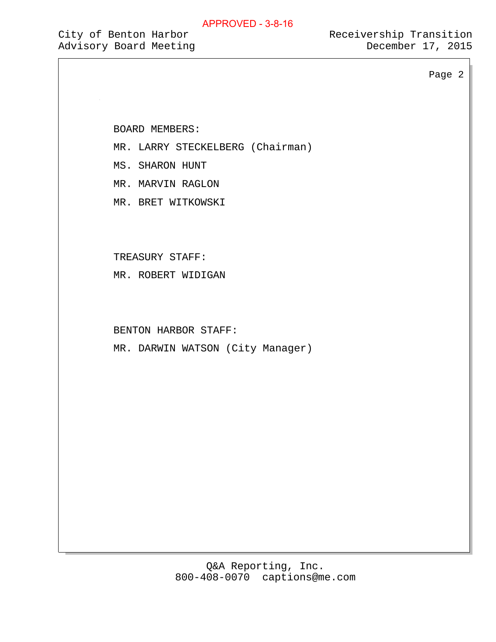City of Benton Harbor **Receivership Transition** 

Page 2

BOARD MEMBERS:

MR. LARRY STECKELBERG (Chairman)

MS. SHARON HUNT

MR. MARVIN RAGLON

MR. BRET WITKOWSKI

TREASURY STAFF:

MR. ROBERT WIDIGAN

BENTON HARBOR STAFF:

MR. DARWIN WATSON (City Manager)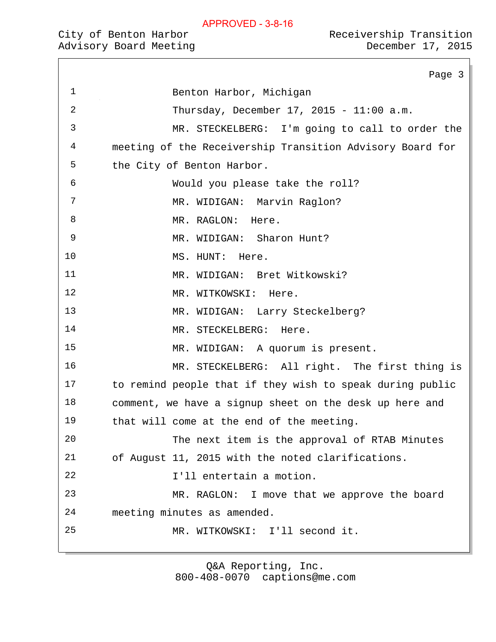|                | Page 3                                                    |
|----------------|-----------------------------------------------------------|
| $\mathbf 1$    | Benton Harbor, Michigan                                   |
| $\overline{2}$ | Thursday, December 17, 2015 - 11:00 a.m.                  |
| 3              | MR. STECKELBERG: I'm going to call to order the           |
| 4              | meeting of the Receivership Transition Advisory Board for |
| 5              | the City of Benton Harbor.                                |
| 6              | Would you please take the roll?                           |
| 7              | MR. WIDIGAN: Marvin Raglon?                               |
| 8              | MR. RAGLON: Here.                                         |
| 9              | MR. WIDIGAN: Sharon Hunt?                                 |
| 10             | MS. HUNT:<br>Here.                                        |
| 11             | MR. WIDIGAN: Bret Witkowski?                              |
| 12             | MR. WITKOWSKI:<br>Here.                                   |
| 13             | MR. WIDIGAN: Larry Steckelberg?                           |
| 14             | MR. STECKELBERG:<br>Here.                                 |
| 15             | MR. WIDIGAN: A quorum is present.                         |
| 16             | MR. STECKELBERG: All right. The first thing is            |
| 17             | to remind people that if they wish to speak during public |
| 18             | comment, we have a signup sheet on the desk up here and   |
| 19             | that will come at the end of the meeting.                 |
| 20             | The next item is the approval of RTAB Minutes             |
| 21             | of August 11, 2015 with the noted clarifications.         |
| 22             | I'll entertain a motion.                                  |
| 23             | MR. RAGLON: I move that we approve the board              |
|                |                                                           |

meeting minutes as amended.

MR. WITKOWSKI: I'll second it.

Q&A Reporting, Inc.

800-408-0070 captions@me.com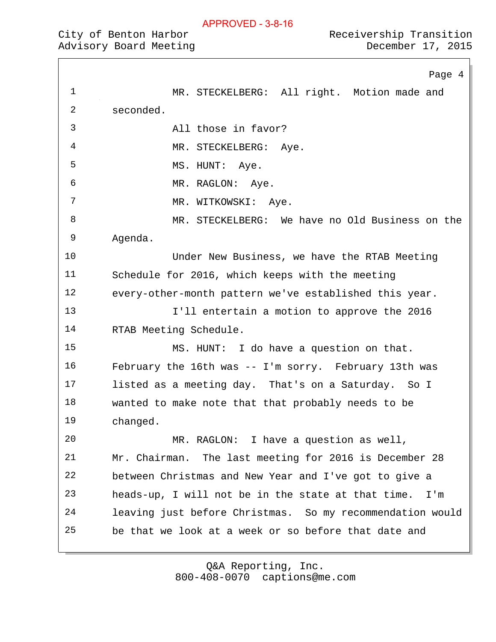| Receivership Transition |  |  |
|-------------------------|--|--|
| December 17, 2015       |  |  |

Page 4 1 MR. STECKELBERG: All right. Motion made and seconded. All those in favor? 4 MR. STECKELBERG: Aye. 5 MS. HUNT: Aye. 6 MR. RAGLON: Aye. 7 MR. WITKOWSKI: Aye. MR. STECKELBERG: We have no Old Business on the Agenda. Under New Business, we have the RTAB Meeting Schedule for 2016, which keeps with the meeting every-other-month pattern we've established this year. I'll entertain a motion to approve the 2016 RTAB Meeting Schedule. MS. HUNT: I do have a question on that. February the 16th was -- I'm sorry. February 13th was listed as a meeting day. That's on a Saturday. So I wanted to make note that that probably needs to be changed. MR. RAGLON: I have a question as well, Mr. Chairman. The last meeting for 2016 is December 28 between Christmas and New Year and I've got to give a heads-up, I will not be in the state at that time. I'm leaving just before Christmas. So my recommendation would be that we look at a week or so before that date and

> 800-408-0070 captions@me.com Q&A Reporting, Inc.

City of Benton Harbor Advisory Board Meeting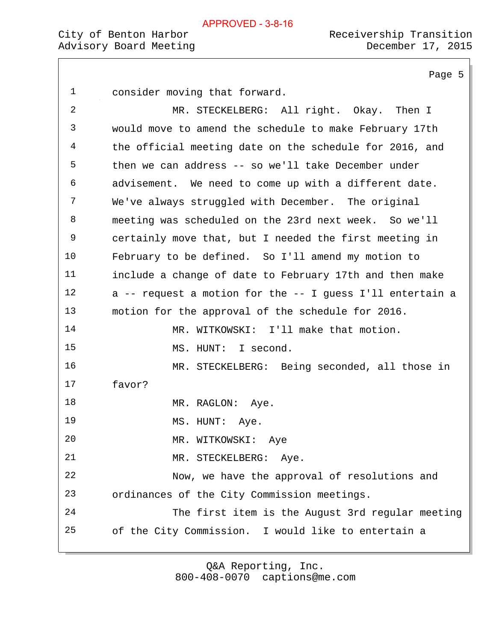Page 5 consider moving that forward. MR. STECKELBERG: All right. Okay. Then I would move to amend the schedule to make February 17th the official meeting date on the schedule for 2016, and then we can address -- so we'll take December under advisement. We need to come up with a different date. We've always struggled with December. The original meeting was scheduled on the 23rd next week. So we'll certainly move that, but I needed the first meeting in February to be defined. So I'll amend my motion to include a change of date to February 17th and then make a -- request a motion for the -- I guess I'll entertain a motion for the approval of the schedule for 2016. 14 MR. WITKOWSKI: I'll make that motion. MS. HUNT: I second. MR. STECKELBERG: Being seconded, all those in favor? 18 MR. RAGLON: Aye. 19 MS. HUNT: Aye. MR. WITKOWSKI: Aye 21 MR. STECKELBERG: Aye. Now, we have the approval of resolutions and ordinances of the City Commission meetings. The first item is the August 3rd regular meeting of the City Commission. I would like to entertain a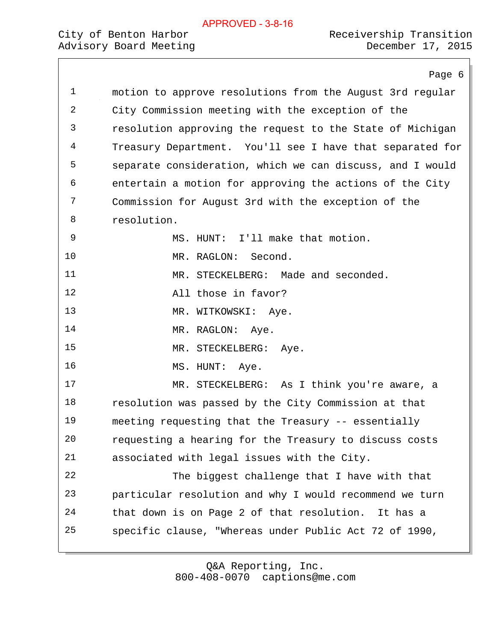# Advisory Board Meeting

|             | Page 6                                                    |
|-------------|-----------------------------------------------------------|
| $\mathbf 1$ | motion to approve resolutions from the August 3rd regular |
| 2           | City Commission meeting with the exception of the         |
| 3           | resolution approving the request to the State of Michigan |
| 4           | Treasury Department. You'll see I have that separated for |
| 5           | separate consideration, which we can discuss, and I would |
| 6           | entertain a motion for approving the actions of the City  |
| 7           | Commission for August 3rd with the exception of the       |
| 8           | resolution.                                               |
| 9           | MS. HUNT: I'll make that motion.                          |
| 10          | MR. RAGLON: Second.                                       |
| 11          | MR. STECKELBERG: Made and seconded.                       |
| 12          | All those in favor?                                       |
| 13          | MR. WITKOWSKI: Aye.                                       |
| 14          | MR. RAGLON: Aye.                                          |
| 15          | MR. STECKELBERG: Aye.                                     |
| 16          | MS. HUNT: Aye.                                            |
| 17          | MR. STECKELBERG: As I think you're aware, a               |
| 18          | resolution was passed by the City Commission at that      |
| 19          | meeting requesting that the Treasury -- essentially       |
| 20          | requesting a hearing for the Treasury to discuss costs    |
| 21          | associated with legal issues with the City.               |
| 22          | The biggest challenge that I have with that               |
| 23          | particular resolution and why I would recommend we turn   |
| 24          | that down is on Page 2 of that resolution. It has a       |
| 25          | specific clause, "Whereas under Public Act 72 of 1990,    |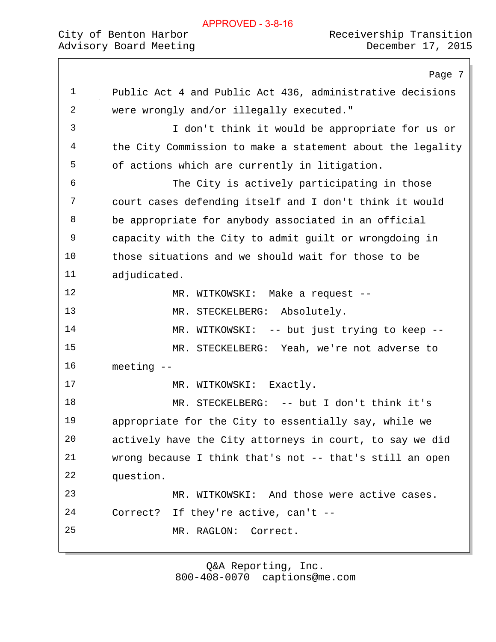# City of Benton Harbor  $\sim$  Receivership Transition

Page 7 Public Act 4 and Public Act 436, administrative decisions were wrongly and/or illegally executed." I don't think it would be appropriate for us or the City Commission to make a statement about the legality of actions which are currently in litigation. The City is actively participating in those court cases defending itself and I don't think it would be appropriate for anybody associated in an official capacity with the City to admit guilt or wrongdoing in those situations and we should wait for those to be adjudicated. 12 MR. WITKOWSKI: Make a request --13 MR. STECKELBERG: Absolutely. 14 MR. WITKOWSKI: -- but just trying to keep -- MR. STECKELBERG: Yeah, we're not adverse to meeting -- 17 MR. WITKOWSKI: Exactly. MR. STECKELBERG: -- but I don't think it's appropriate for the City to essentially say, while we actively have the City attorneys in court, to say we did wrong because I think that's not -- that's still an open question. MR. WITKOWSKI: And those were active cases. Correct? If they're active, can't -- MR. RAGLON: Correct.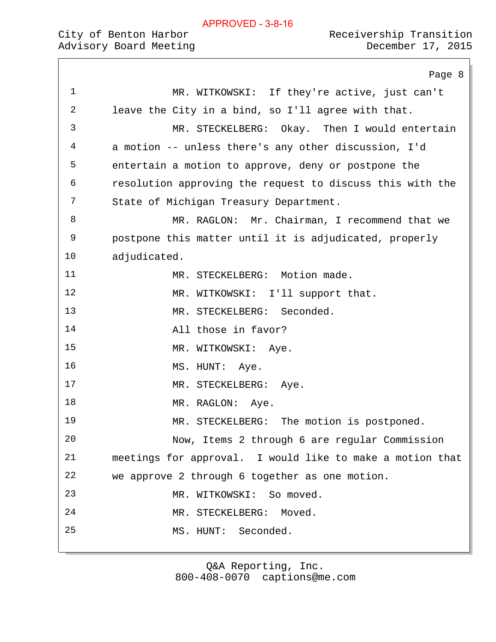|    | Page 8                                                    |
|----|-----------------------------------------------------------|
| 1  | MR. WITKOWSKI: If they're active, just can't              |
| 2  | leave the City in a bind, so I'll agree with that.        |
| 3  | MR. STECKELBERG: Okay. Then I would entertain             |
| 4  | a motion -- unless there's any other discussion, I'd      |
| 5  | entertain a motion to approve, deny or postpone the       |
| 6  | resolution approving the request to discuss this with the |
| 7  | State of Michigan Treasury Department.                    |
| 8  | MR. RAGLON: Mr. Chairman, I recommend that we             |
| 9  | postpone this matter until it is adjudicated, properly    |
| 10 | adjudicated.                                              |
| 11 | MR. STECKELBERG: Motion made.                             |
| 12 | MR. WITKOWSKI: I'll support that.                         |
| 13 | MR. STECKELBERG: Seconded.                                |
| 14 | All those in favor?                                       |
| 15 | MR. WITKOWSKI: Aye.                                       |
| 16 | MS. HUNT:<br>Aye.                                         |
| 17 | MR. STECKELBERG: Aye.                                     |
| 18 | MR. RAGLON: Aye.                                          |
| 19 | MR. STECKELBERG: The motion is postponed.                 |
| 20 | Now, Items 2 through 6 are regular Commission             |
| 21 | meetings for approval. I would like to make a motion that |
| 22 | we approve 2 through 6 together as one motion.            |
| 23 | MR. WITKOWSKI:<br>So moved.                               |
| 24 | MR. STECKELBERG:<br>Moved.                                |
| 25 | Seconded.<br>MS. HUNT:                                    |
|    |                                                           |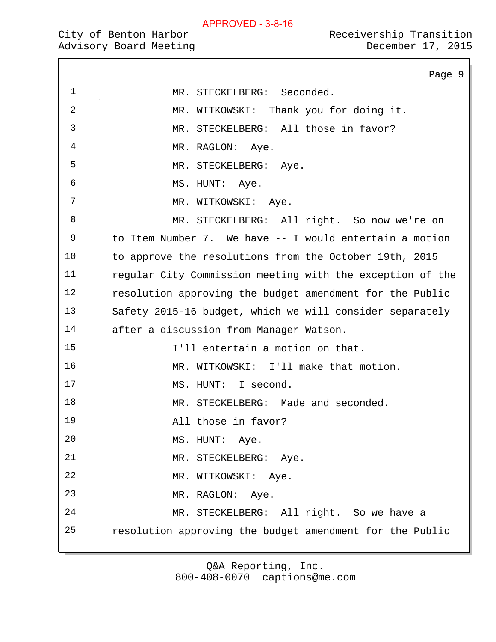Advisory Board Meeting

|    | Page 9                                                    |
|----|-----------------------------------------------------------|
| 1  | MR. STECKELBERG: Seconded.                                |
| 2  | MR. WITKOWSKI: Thank you for doing it.                    |
| 3  | MR. STECKELBERG: All those in favor?                      |
| 4  | MR. RAGLON: Aye.                                          |
| 5  | MR. STECKELBERG: Aye.                                     |
| 6  | MS. HUNT:<br>Aye.                                         |
| 7  | MR. WITKOWSKI: Aye.                                       |
| 8  | MR. STECKELBERG: All right. So now we're on               |
| 9  | to Item Number 7. We have -- I would entertain a motion   |
| 10 | to approve the resolutions from the October 19th, 2015    |
| 11 | regular City Commission meeting with the exception of the |
| 12 | resolution approving the budget amendment for the Public  |
| 13 | Safety 2015-16 budget, which we will consider separately  |
| 14 | after a discussion from Manager Watson.                   |
| 15 | I'll entertain a motion on that.                          |
| 16 | MR. WITKOWSKI: I'll make that motion.                     |
| 17 | MS. HUNT: I second.                                       |
| 18 | MR. STECKELBERG: Made and seconded.                       |
| 19 | All those in favor?                                       |
| 20 | MS. HUNT: Aye.                                            |
| 21 | MR. STECKELBERG: Aye.                                     |
| 22 | MR. WITKOWSKI:<br>Aye.                                    |
| 23 | MR. RAGLON: Aye.                                          |
| 24 | MR. STECKELBERG: All right. So we have a                  |
| 25 | resolution approving the budget amendment for the Public  |
|    |                                                           |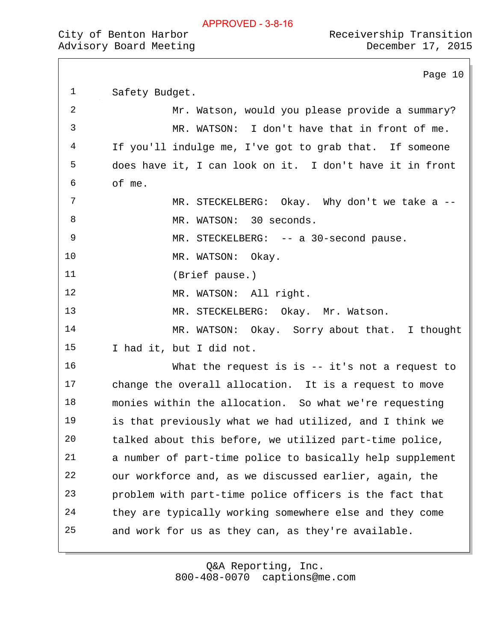| City of Benton Harbor  | Receivership Transition |  |
|------------------------|-------------------------|--|
| Advisory Board Meeting | December 17, 2015       |  |

Page 10

| $\mathbf 1$ | Safety Budget.                                            |
|-------------|-----------------------------------------------------------|
| 2           | Mr. Watson, would you please provide a summary?           |
| 3           | MR. WATSON: I don't have that in front of me.             |
| 4           | If you'll indulge me, I've got to grab that. If someone   |
| 5           | does have it, I can look on it. I don't have it in front  |
| 6           | of me.                                                    |
| 7           | MR. STECKELBERG: Okay. Why don't we take a --             |
| 8           | MR. WATSON: 30 seconds.                                   |
| 9           | MR. STECKELBERG: -- a 30-second pause.                    |
| 10          | MR. WATSON: Okay.                                         |
| 11          | (Brief pause.)                                            |
| 12          | MR. WATSON: All right.                                    |
| 13          | MR. STECKELBERG: Okay. Mr. Watson.                        |
| 14          | MR. WATSON: Okay. Sorry about that. I thought             |
| 15          | I had it, but I did not.                                  |
| 16          | What the request is is $--$ it's not a request to         |
| 17          | change the overall allocation. It is a request to move    |
| 18          | monies within the allocation. So what we're requesting    |
| 19          | is that previously what we had utilized, and I think we   |
| 20          | talked about this before, we utilized part-time police,   |
| 21          | a number of part-time police to basically help supplement |
| 22          | our workforce and, as we discussed earlier, again, the    |
| 23          | problem with part-time police officers is the fact that   |
| 24          | they are typically working somewhere else and they come   |
| 25          | and work for us as they can, as they're available.        |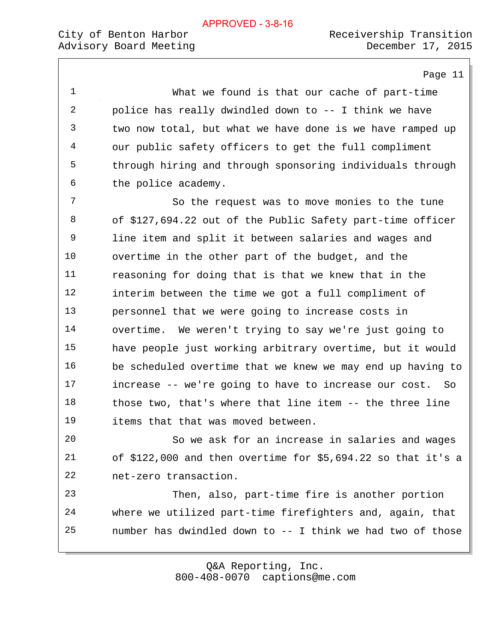Page 11

 What we found is that our cache of part-time police has really dwindled down to -- I think we have two now total, but what we have done is we have ramped up our public safety officers to get the full compliment through hiring and through sponsoring individuals through the police academy. So the request was to move monies to the tune of \$127,694.22 out of the Public Safety part-time officer line item and split it between salaries and wages and overtime in the other part of the budget, and the reasoning for doing that is that we knew that in the interim between the time we got a full compliment of personnel that we were going to increase costs in overtime. We weren't trying to say we're just going to have people just working arbitrary overtime, but it would be scheduled overtime that we knew we may end up having to increase -- we're going to have to increase our cost. So those two, that's where that line item -- the three line items that that was moved between. So we ask for an increase in salaries and wages of \$122,000 and then overtime for \$5,694.22 so that it's a net-zero transaction. Then, also, part-time fire is another portion where we utilized part-time firefighters and, again, that number has dwindled down to -- I think we had two of those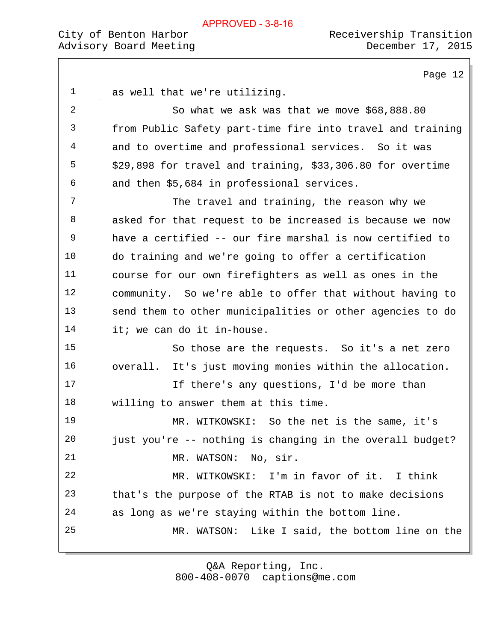Page 12 as well that we're utilizing. So what we ask was that we move \$68,888.80 from Public Safety part-time fire into travel and training and to overtime and professional services. So it was \$29,898 for travel and training, \$33,306.80 for overtime and then \$5,684 in professional services. The travel and training, the reason why we asked for that request to be increased is because we now have a certified -- our fire marshal is now certified to do training and we're going to offer a certification course for our own firefighters as well as ones in the community. So we're able to offer that without having to send them to other municipalities or other agencies to do it; we can do it in-house. So those are the requests. So it's a net zero overall. It's just moving monies within the allocation. 17 17 If there's any questions, I'd be more than willing to answer them at this time. MR. WITKOWSKI: So the net is the same, it's just you're -- nothing is changing in the overall budget? 21 MR. WATSON: No, sir. MR. WITKOWSKI: I'm in favor of it. I think that's the purpose of the RTAB is not to make decisions as long as we're staying within the bottom line. MR. WATSON: Like I said, the bottom line on the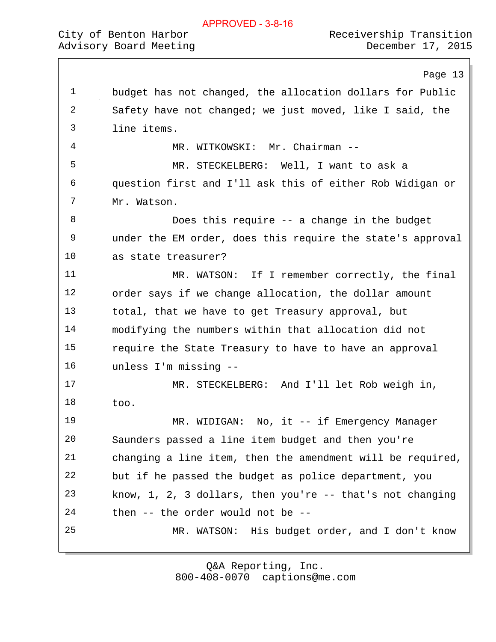|  | APPROVED - 3-8-16 |  |
|--|-------------------|--|
|  |                   |  |

Page 13 budget has not changed, the allocation dollars for Public Safety have not changed; we just moved, like I said, the line items. 4 MR. WITKOWSKI: Mr. Chairman -- MR. STECKELBERG: Well, I want to ask a question first and I'll ask this of either Rob Widigan or Mr. Watson. Does this require -- a change in the budget under the EM order, does this require the state's approval as state treasurer? MR. WATSON: If I remember correctly, the final order says if we change allocation, the dollar amount total, that we have to get Treasury approval, but modifying the numbers within that allocation did not require the State Treasury to have to have an approval unless I'm missing -- MR. STECKELBERG: And I'll let Rob weigh in, too. 19 MR. WIDIGAN: No, it -- if Emergency Manager Saunders passed a line item budget and then you're changing a line item, then the amendment will be required, but if he passed the budget as police department, you know, 1, 2, 3 dollars, then you're -- that's not changing then -- the order would not be -- MR. WATSON: His budget order, and I don't know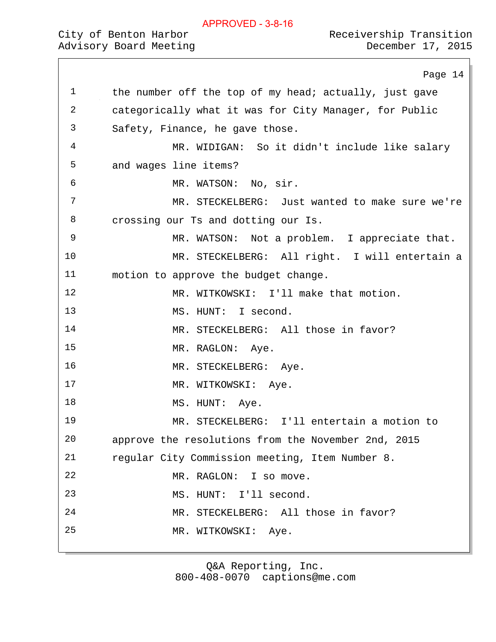|              | Page 14                                                |
|--------------|--------------------------------------------------------|
| $\mathbf 1$  | the number off the top of my head; actually, just gave |
| $\mathbf{2}$ | categorically what it was for City Manager, for Public |
| 3            | Safety, Finance, he gave those.                        |
| 4            | MR. WIDIGAN: So it didn't include like salary          |
| 5            | and wages line items?                                  |
| 6            | MR. WATSON: No, sir.                                   |
| 7            | MR. STECKELBERG: Just wanted to make sure we're        |
| 8            | crossing our Ts and dotting our Is.                    |
| 9            | MR. WATSON: Not a problem. I appreciate that.          |
| 10           | MR. STECKELBERG: All right. I will entertain a         |
| 11           | motion to approve the budget change.                   |
| 12           | MR. WITKOWSKI: I'll make that motion.                  |
| 13           | MS. HUNT: I second.                                    |
| 14           | MR. STECKELBERG: All those in favor?                   |
| 15           | MR. RAGLON: Aye.                                       |
| 16           | MR. STECKELBERG: Aye.                                  |
| 17           | MR. WITKOWSKI: Aye.                                    |
| 18           | MS. HUNT: Aye.                                         |
| 19           | MR. STECKELBERG: I'll entertain a motion to            |
| 20           | approve the resolutions from the November 2nd, 2015    |
| 21           | regular City Commission meeting, Item Number 8.        |
| 22           | MR. RAGLON: I so move.                                 |
| 23           | MS. HUNT: I'll second.                                 |
| 24           | MR. STECKELBERG: All those in favor?                   |
| 25           | MR. WITKOWSKI:<br>Aye.                                 |
|              |                                                        |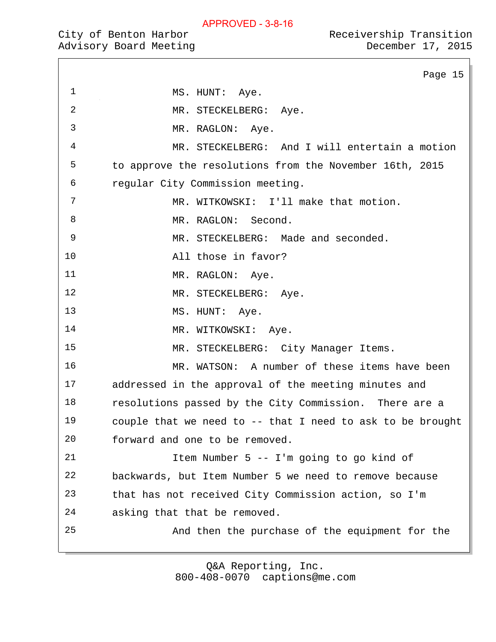Page 15

|  | City of Benton Harbor |                        |
|--|-----------------------|------------------------|
|  |                       | Advisory Board Meeting |

1 MS. HUNT: Aye. MR. STECKELBERG: Aye. MR. RAGLON: Aye. MR. STECKELBERG: And I will entertain a motion to approve the resolutions from the November 16th, 2015 regular City Commission meeting. MR. WITKOWSKI: I'll make that motion. 8 MR. RAGLON: Second. MR. STECKELBERG: Made and seconded. All those in favor? 11 MR. RAGLON: Aye. 12 MR. STECKELBERG: Aye. 13 MS. HUNT: Aye. 14 MR. WITKOWSKI: Aye. MR. STECKELBERG: City Manager Items. MR. WATSON: A number of these items have been addressed in the approval of the meeting minutes and resolutions passed by the City Commission. There are a couple that we need to -- that I need to ask to be brought forward and one to be removed. Item Number 5 -- I'm going to go kind of backwards, but Item Number 5 we need to remove because that has not received City Commission action, so I'm asking that that be removed. And then the purchase of the equipment for the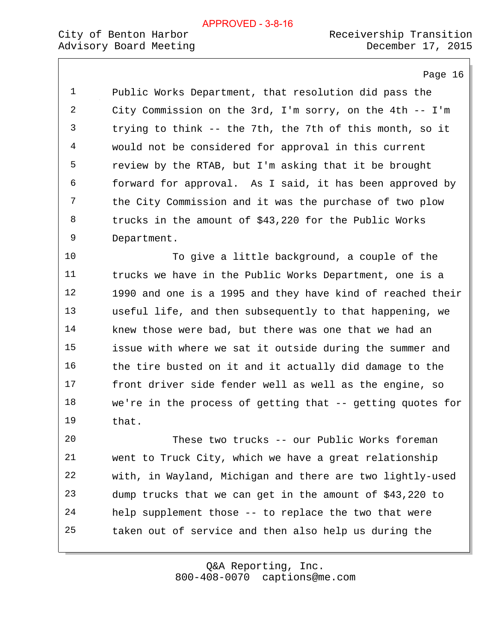Page 16

 Public Works Department, that resolution did pass the City Commission on the 3rd, I'm sorry, on the 4th -- I'm trying to think -- the 7th, the 7th of this month, so it would not be considered for approval in this current review by the RTAB, but I'm asking that it be brought forward for approval. As I said, it has been approved by the City Commission and it was the purchase of two plow trucks in the amount of \$43,220 for the Public Works Department.

 To give a little background, a couple of the trucks we have in the Public Works Department, one is a 1990 and one is a 1995 and they have kind of reached their useful life, and then subsequently to that happening, we knew those were bad, but there was one that we had an issue with where we sat it outside during the summer and the tire busted on it and it actually did damage to the front driver side fender well as well as the engine, so we're in the process of getting that -- getting quotes for that.

 These two trucks -- our Public Works foreman went to Truck City, which we have a great relationship with, in Wayland, Michigan and there are two lightly-used dump trucks that we can get in the amount of \$43,220 to help supplement those -- to replace the two that were taken out of service and then also help us during the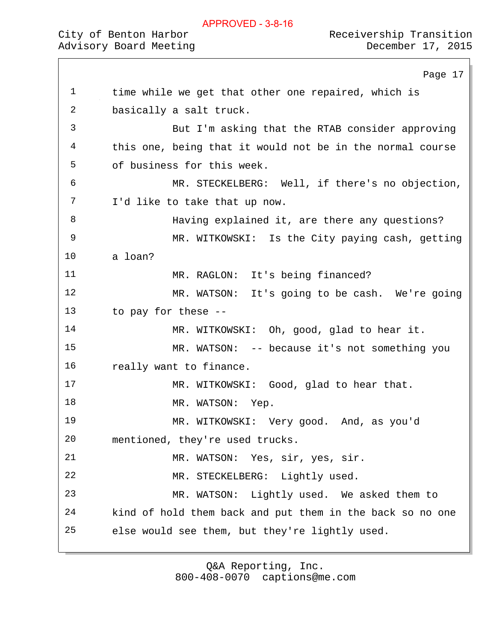1 time while we get that other one repaired, which is

# Advisory Board Meeting December 17, 2015

Page 17

City of Benton Harbor  $\sim$  Receivership Transition

 basically a salt truck. But I'm asking that the RTAB consider approving this one, being that it would not be in the normal course of business for this week. MR. STECKELBERG: Well, if there's no objection, I'd like to take that up now. Having explained it, are there any questions? MR. WITKOWSKI: Is the City paying cash, getting a loan? MR. RAGLON: It's being financed? MR. WATSON: It's going to be cash. We're going to pay for these -- 14 MR. WITKOWSKI: Oh, good, glad to hear it. MR. WATSON: -- because it's not something you really want to finance. 17 MR. WITKOWSKI: Good, glad to hear that. 18 MR. WATSON: Yep. MR. WITKOWSKI: Very good. And, as you'd mentioned, they're used trucks. MR. WATSON: Yes, sir, yes, sir. MR. STECKELBERG: Lightly used. MR. WATSON: Lightly used. We asked them to kind of hold them back and put them in the back so no one else would see them, but they're lightly used.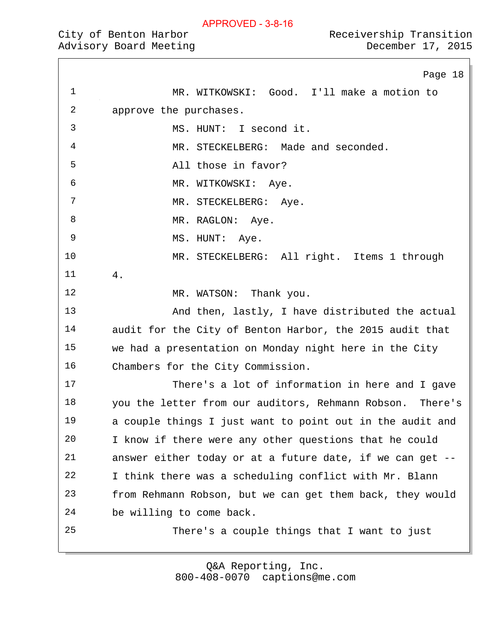| Receivership Transition |  |
|-------------------------|--|
| December 17, 2015       |  |

|    | Page 18                                                   |
|----|-----------------------------------------------------------|
| 1  | MR. WITKOWSKI: Good. I'll make a motion to                |
| 2  | approve the purchases.                                    |
| 3  | MS. HUNT: I second it.                                    |
| 4  | MR. STECKELBERG: Made and seconded.                       |
| 5  | All those in favor?                                       |
| 6  | MR. WITKOWSKI: Aye.                                       |
| 7  | MR. STECKELBERG: Aye.                                     |
| 8  | MR. RAGLON: Aye.                                          |
| 9  | MS. HUNT: Aye.                                            |
| 10 | MR. STECKELBERG: All right. Items 1 through               |
| 11 | 4.                                                        |
| 12 | MR. WATSON: Thank you.                                    |
| 13 | And then, lastly, I have distributed the actual           |
| 14 | audit for the City of Benton Harbor, the 2015 audit that  |
| 15 | we had a presentation on Monday night here in the City    |
| 16 | Chambers for the City Commission.                         |
| 17 | There's a lot of information in here and I gave           |
| 18 | you the letter from our auditors, Rehmann Robson. There's |
| 19 | a couple things I just want to point out in the audit and |
| 20 | I know if there were any other questions that he could    |
| 21 | answer either today or at a future date, if we can get -- |
| 22 | I think there was a scheduling conflict with Mr. Blann    |
| 23 | from Rehmann Robson, but we can get them back, they would |
| 24 | be willing to come back.                                  |
| 25 | There's a couple things that I want to just               |
|    |                                                           |

800-408-0070 captions@me.com Q&A Reporting, Inc.

# City of Benton Harbor **Receivership Transiti** Advisory Board Meeting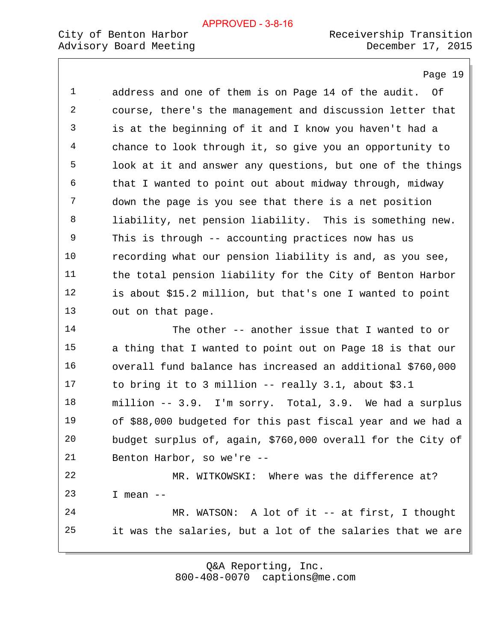## City of Benton Harbor<br>
Advisory Board Meeting<br>
Receivership Transition<br>
December 17, 2015 Advisory Board Meeting

Page 19

| 1  | address and one of them is on Page 14 of the audit. Of      |
|----|-------------------------------------------------------------|
| 2  | course, there's the management and discussion letter that   |
| 3  | is at the beginning of it and I know you haven't had a      |
| 4  | chance to look through it, so give you an opportunity to    |
| 5  | look at it and answer any questions, but one of the things  |
| 6  | that I wanted to point out about midway through, midway     |
| 7  | down the page is you see that there is a net position       |
| 8  | liability, net pension liability. This is something new.    |
| 9  | This is through -- accounting practices now has us          |
| 10 | recording what our pension liability is and, as you see,    |
| 11 | the total pension liability for the City of Benton Harbor   |
| 12 | is about \$15.2 million, but that's one I wanted to point   |
| 13 | out on that page.                                           |
| 14 | The other -- another issue that I wanted to or              |
| 15 | a thing that I wanted to point out on Page 18 is that our   |
| 16 | overall fund balance has increased an additional \$760,000  |
| 17 | to bring it to 3 million -- really $3.1$ , about $$3.1$     |
| 18 | million -- 3.9. I'm sorry. Total, 3.9. We had a surplus     |
| 19 | of \$88,000 budgeted for this past fiscal year and we had a |
| 20 | budget surplus of, again, \$760,000 overall for the City of |
| 21 | Benton Harbor, so we're --                                  |
| 22 | MR. WITKOWSKI: Where was the difference at?                 |
| 23 | I mean $--$                                                 |
| 24 | MR. WATSON: A lot of it $-$ at first, I thought             |
| 25 | it was the salaries, but a lot of the salaries that we are  |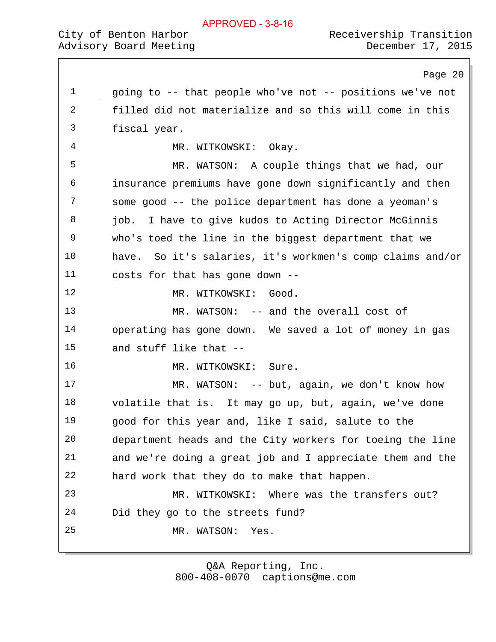|  |  |  |  | APPROVED - 3-8-16 |  |
|--|--|--|--|-------------------|--|
|--|--|--|--|-------------------|--|

# Advisory Board Meeting

|             | Page 20                                                      |
|-------------|--------------------------------------------------------------|
| $\mathbf 1$ | going to -- that people who've not -- positions we've not    |
| 2           | filled did not materialize and so this will come in this     |
| 3           | fiscal year.                                                 |
| 4           | MR. WITKOWSKI: Okay.                                         |
| 5           | MR. WATSON: A couple things that we had, our                 |
| 6           | insurance premiums have gone down significantly and then     |
| 7           | some good -- the police department has done a yeoman's       |
| 8           | I have to give kudos to Acting Director McGinnis<br>job.     |
| 9           | who's toed the line in the biggest department that we        |
| 10          | So it's salaries, it's workmen's comp claims and/or<br>have. |
| 11          | costs for that has gone down --                              |
| 12          | MR. WITKOWSKI: Good.                                         |
| 13          | MR. WATSON: -- and the overall cost of                       |
| 14          | operating has gone down. We saved a lot of money in gas      |
| 15          | and stuff like that --                                       |
| 16          | MR. WITKOWSKI:<br>Sure.                                      |
| 17          | MR. WATSON: $-$ - but, again, we don't know how              |
| 18          | volatile that is. It may go up, but, again, we've done       |
| 19          | good for this year and, like I said, salute to the           |
| 20          | department heads and the City workers for toeing the line    |
| 21          | and we're doing a great job and I appreciate them and the    |
| 22          | hard work that they do to make that happen.                  |
| 23          | MR. WITKOWSKI:<br>Where was the transfers out?               |
| 24          | Did they go to the streets fund?                             |
| 25          | MR. WATSON:<br>Yes.                                          |
|             |                                                              |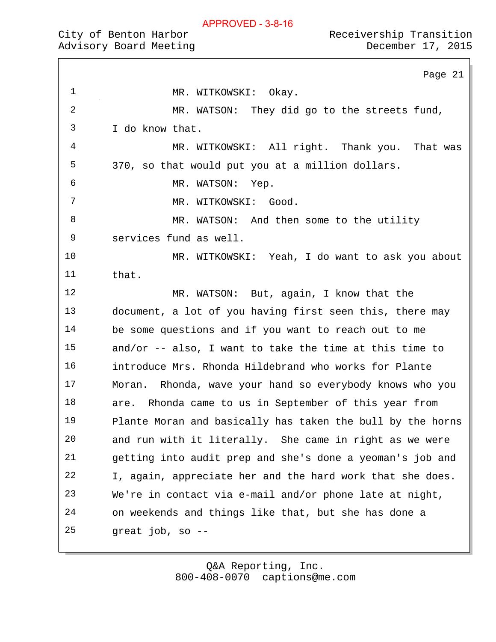# City of Benton Harbor<br>
Advisory Board Meeting<br>
Receivership Transition<br>
December 17, 2015 Advisory Board Meeting

|             | Page 21                                                    |
|-------------|------------------------------------------------------------|
| $\mathbf 1$ | MR. WITKOWSKI: Okay.                                       |
| 2           | MR. WATSON: They did go to the streets fund,               |
| 3           | I do know that.                                            |
| 4           | MR. WITKOWSKI: All right. Thank you. That was              |
| 5           | 370, so that would put you at a million dollars.           |
| 6           | MR. WATSON:<br>Yep.                                        |
| 7           | MR. WITKOWSKI: Good.                                       |
| 8           | MR. WATSON: And then some to the utility                   |
| 9           | services fund as well.                                     |
| 10          | MR. WITKOWSKI: Yeah, I do want to ask you about            |
| 11          | that.                                                      |
| 12          | MR. WATSON: But, again, I know that the                    |
| 13          | document, a lot of you having first seen this, there may   |
| 14          | be some questions and if you want to reach out to me       |
| 15          | and/or $-$ - also, I want to take the time at this time to |
| 16          | introduce Mrs. Rhonda Hildebrand who works for Plante      |
| 17          | Moran. Rhonda, wave your hand so everybody knows who you   |
| 18          | Rhonda came to us in September of this year from<br>are.   |
| 19          | Plante Moran and basically has taken the bull by the horns |
| 20          | and run with it literally. She came in right as we were    |
| 21          | getting into audit prep and she's done a yeoman's job and  |
| 22          | I, again, appreciate her and the hard work that she does.  |
| 23          | We're in contact via e-mail and/or phone late at night,    |
| 24          | on weekends and things like that, but she has done a       |
| 25          | great job, so --                                           |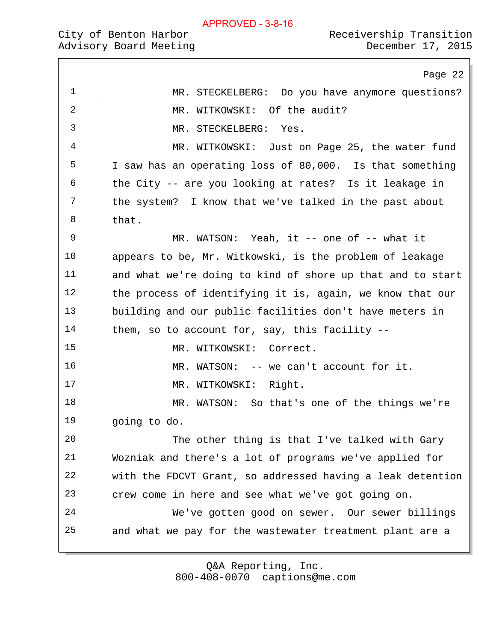Page 22 MR. STECKELBERG: Do you have anymore questions? 2 MR. WITKOWSKI: Of the audit? MR. STECKELBERG: Yes. MR. WITKOWSKI: Just on Page 25, the water fund I saw has an operating loss of 80,000. Is that something the City -- are you looking at rates? Is it leakage in the system? I know that we've talked in the past about that. 9 MR. WATSON: Yeah, it -- one of -- what it appears to be, Mr. Witkowski, is the problem of leakage and what we're doing to kind of shore up that and to start the process of identifying it is, again, we know that our building and our public facilities don't have meters in them, so to account for, say, this facility -- 15 MR. WITKOWSKI: Correct. 16 MR. WATSON: -- we can't account for it. 17 MR. WITKOWSKI: Right. MR. WATSON: So that's one of the things we're going to do. The other thing is that I've talked with Gary Wozniak and there's a lot of programs we've applied for with the FDCVT Grant, so addressed having a leak detention crew come in here and see what we've got going on. We've gotten good on sewer. Our sewer billings and what we pay for the wastewater treatment plant are a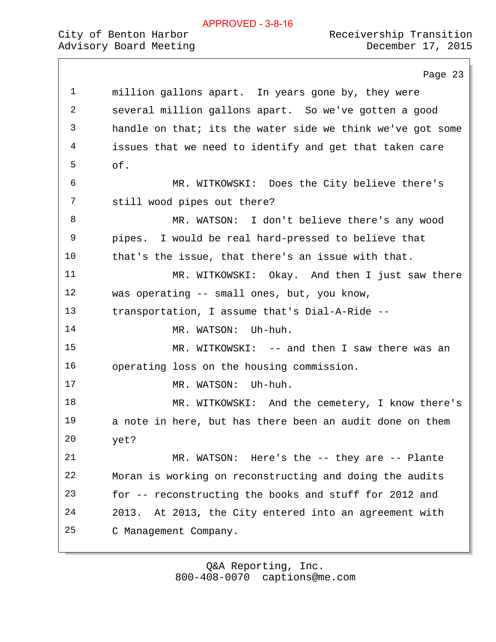|             | Page 23                                                    |
|-------------|------------------------------------------------------------|
| $\mathbf 1$ | million gallons apart. In years gone by, they were         |
| 2           | several million gallons apart. So we've gotten a good      |
| 3           | handle on that; its the water side we think we've got some |
| 4           | issues that we need to identify and get that taken care    |
| 5           | of.                                                        |
| 6           | MR. WITKOWSKI: Does the City believe there's               |
| 7           | still wood pipes out there?                                |
| 8           | MR. WATSON: I don't believe there's any wood               |
| 9           | pipes. I would be real hard-pressed to believe that        |
| 10          | that's the issue, that there's an issue with that.         |
| 11          | MR. WITKOWSKI: Okay. And then I just saw there             |
| 12          | was operating -- small ones, but, you know,                |
| 13          | transportation, I assume that's Dial-A-Ride --             |
| 14          | Uh-huh.<br>MR. WATSON:                                     |
| 15          | MR. WITKOWSKI: -- and then I saw there was an              |
| 16          | operating loss on the housing commission.                  |
| 17          | MR. WATSON:<br>Uh-huh.                                     |
| 18          | MR. WITKOWSKI: And the cemetery, I know there's            |
| 19          | a note in here, but has there been an audit done on them   |
| 20          | yet?                                                       |
| 21          | MR. WATSON: Here's the -- they are -- Plante               |
| 22          | Moran is working on reconstructing and doing the audits    |
| 23          | for -- reconstructing the books and stuff for 2012 and     |
| 24          | At 2013, the City entered into an agreement with<br>2013.  |
| 25          | C Management Company.                                      |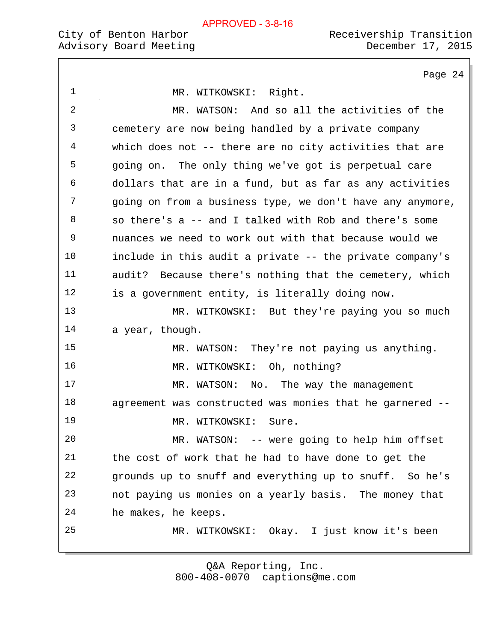# Advisory Board Meeting

|             | Page 24                                                   |
|-------------|-----------------------------------------------------------|
| $\mathbf 1$ | MR. WITKOWSKI: Right.                                     |
| 2           | MR. WATSON: And so all the activities of the              |
| 3           | cemetery are now being handled by a private company       |
| 4           | which does not -- there are no city activities that are   |
| 5           | going on. The only thing we've got is perpetual care      |
| 6           | dollars that are in a fund, but as far as any activities  |
| 7           | going on from a business type, we don't have any anymore, |
| 8           | so there's a -- and I talked with Rob and there's some    |
| 9           | nuances we need to work out with that because would we    |
| 10          | include in this audit a private -- the private company's  |
| 11          | audit? Because there's nothing that the cemetery, which   |
| 12          | is a government entity, is literally doing now.           |
| 13          | MR. WITKOWSKI: But they're paying you so much             |
| 14          | a year, though.                                           |
| 15          | MR. WATSON: They're not paying us anything.               |
| 16          | MR. WITKOWSKI: Oh, nothing?                               |
| 17          | WATSON: No. The way the management<br>MR.                 |
| 18          | agreement was constructed was monies that he garnered --  |
| 19          | MR. WITKOWSKI:<br>Sure.                                   |
| 20          | MR. WATSON: -- were going to help him offset              |
| 21          | the cost of work that he had to have done to get the      |
| 22          | grounds up to snuff and everything up to snuff. So he's   |
| 23          | not paying us monies on a yearly basis. The money that    |
| 24          | he makes, he keeps.                                       |
| 25          | MR. WITKOWSKI: Okay. I just know it's been                |
|             |                                                           |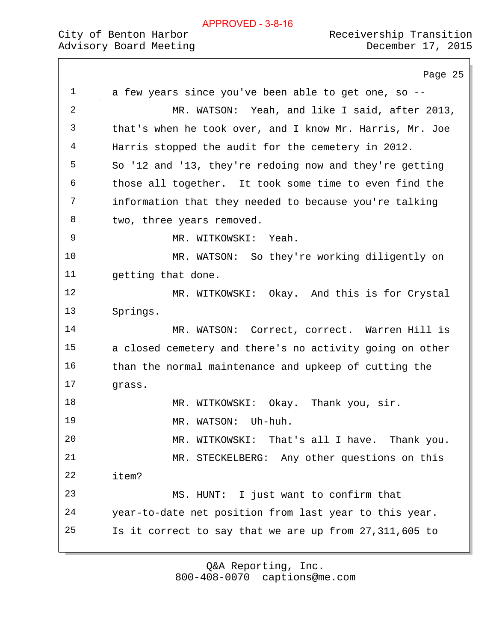# City of Benton Harbor  $\sim$  Receivership Transition

Page 25 a few years since you've been able to get one, so -- MR. WATSON: Yeah, and like I said, after 2013, that's when he took over, and I know Mr. Harris, Mr. Joe Harris stopped the audit for the cemetery in 2012. So '12 and '13, they're redoing now and they're getting those all together. It took some time to even find the information that they needed to because you're talking 8 two, three years removed. MR. WITKOWSKI: Yeah. MR. WATSON: So they're working diligently on getting that done. 12 MR. WITKOWSKI: Okay. And this is for Crystal Springs. 14 MR. WATSON: Correct, correct. Warren Hill is a closed cemetery and there's no activity going on other than the normal maintenance and upkeep of cutting the grass. MR. WITKOWSKI: Okay. Thank you, sir. MR. WATSON: Uh-huh. MR. WITKOWSKI: That's all I have. Thank you. MR. STECKELBERG: Any other questions on this item? MS. HUNT: I just want to confirm that year-to-date net position from last year to this year. Is it correct to say that we are up from 27,311,605 to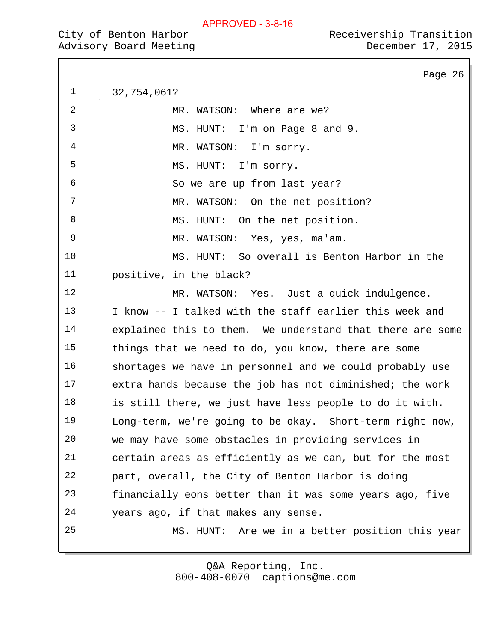|  | City of Benton Harbor |                        |
|--|-----------------------|------------------------|
|  |                       | Advisory Board Meeting |

Page 26 32,754,061? 2 MR. WATSON: Where are we? MS. HUNT: I'm on Page 8 and 9. MR. WATSON: I'm sorry. MS. HUNT: I'm sorry. So we are up from last year? 7 MR. WATSON: On the net position? 8 MS. HUNT: On the net position. MR. WATSON: Yes, yes, ma'am. MS. HUNT: So overall is Benton Harbor in the positive, in the black? MR. WATSON: Yes. Just a quick indulgence. I know -- I talked with the staff earlier this week and explained this to them. We understand that there are some things that we need to do, you know, there are some shortages we have in personnel and we could probably use extra hands because the job has not diminished; the work is still there, we just have less people to do it with. Long-term, we're going to be okay. Short-term right now, we may have some obstacles in providing services in certain areas as efficiently as we can, but for the most part, overall, the City of Benton Harbor is doing financially eons better than it was some years ago, five years ago, if that makes any sense. MS. HUNT: Are we in a better position this year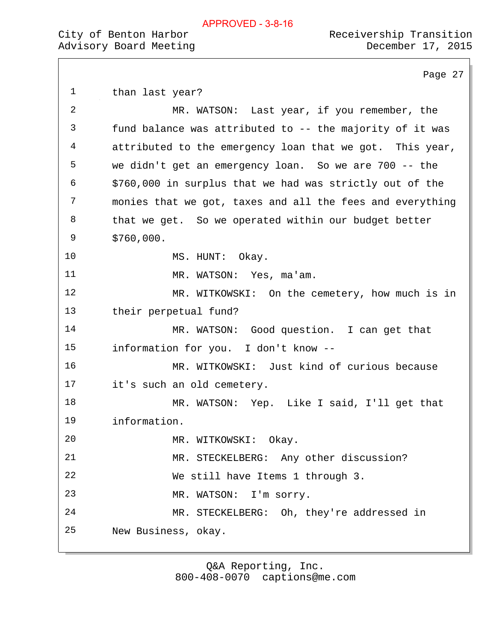Page 27 1 than last year? MR. WATSON: Last year, if you remember, the fund balance was attributed to -- the majority of it was attributed to the emergency loan that we got. This year, we didn't get an emergency loan. So we are 700 -- the \$760,000 in surplus that we had was strictly out of the monies that we got, taxes and all the fees and everything that we get. So we operated within our budget better \$760,000. 10 MS. HUNT: Okay. MR. WATSON: Yes, ma'am. 12 MR. WITKOWSKI: On the cemetery, how much is in their perpetual fund? 14 MR. WATSON: Good question. I can get that information for you. I don't know -- MR. WITKOWSKI: Just kind of curious because it's such an old cemetery. MR. WATSON: Yep. Like I said, I'll get that information. MR. WITKOWSKI: Okay. MR. STECKELBERG: Any other discussion? We still have Items 1 through 3. MR. WATSON: I'm sorry. MR. STECKELBERG: Oh, they're addressed in New Business, okay.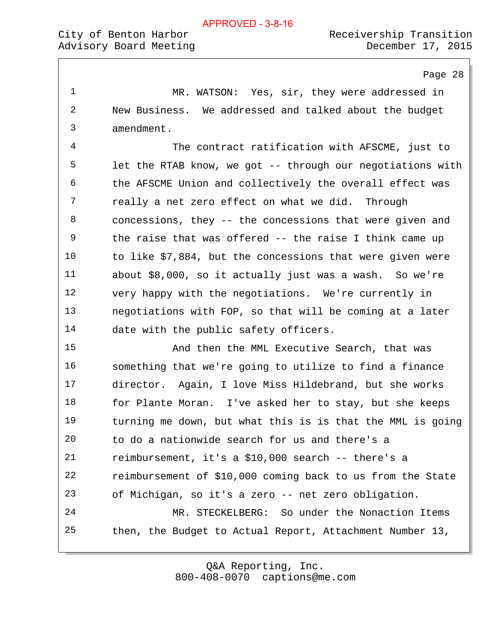Page 28

 MR. WATSON: Yes, sir, they were addressed in New Business. We addressed and talked about the budget amendment.

 The contract ratification with AFSCME, just to let the RTAB know, we got -- through our negotiations with the AFSCME Union and collectively the overall effect was really a net zero effect on what we did. Through concessions, they -- the concessions that were given and the raise that was offered -- the raise I think came up to like \$7,884, but the concessions that were given were about \$8,000, so it actually just was a wash. So we're very happy with the negotiations. We're currently in negotiations with FOP, so that will be coming at a later date with the public safety officers.

 And then the MML Executive Search, that was something that we're going to utilize to find a finance director. Again, I love Miss Hildebrand, but she works 18 for Plante Moran. I've asked her to stay, but she keeps turning me down, but what this is is that the MML is going to do a nationwide search for us and there's a reimbursement, it's a \$10,000 search -- there's a reimbursement of \$10,000 coming back to us from the State of Michigan, so it's a zero -- net zero obligation. MR. STECKELBERG: So under the Nonaction Items then, the Budget to Actual Report, Attachment Number 13,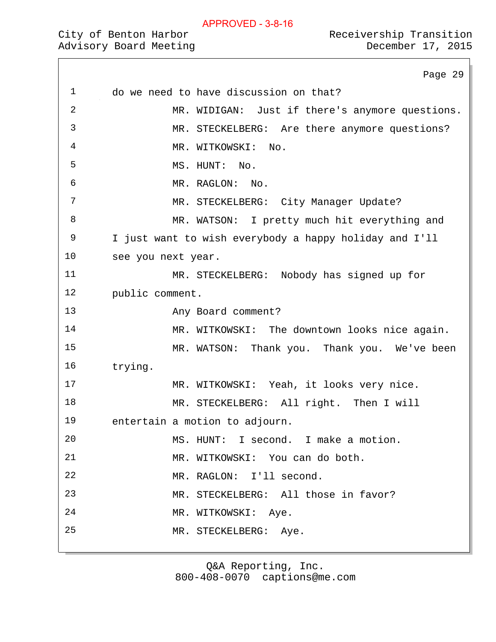## City of Benton Harbor  $\sim$  Receivership Transition Advisory Board Meeting December 17, 2015

Page 29 do we need to have discussion on that? MR. WIDIGAN: Just if there's anymore questions. MR. STECKELBERG: Are there anymore questions? MR. WITKOWSKI: No. 5 MS. HUNT: No. MR. RAGLON: No. 7 MR. STECKELBERG: City Manager Update? MR. WATSON: I pretty much hit everything and I just want to wish everybody a happy holiday and I'll see you next year. MR. STECKELBERG: Nobody has signed up for public comment. Any Board comment? 14 MR. WITKOWSKI: The downtown looks nice again. MR. WATSON: Thank you. Thank you. We've been trying. MR. WITKOWSKI: Yeah, it looks very nice. MR. STECKELBERG: All right. Then I will entertain a motion to adjourn. MS. HUNT: I second. I make a motion. MR. WITKOWSKI: You can do both. MR. RAGLON: I'll second. MR. STECKELBERG: All those in favor? MR. WITKOWSKI: Aye. MR. STECKELBERG: Aye.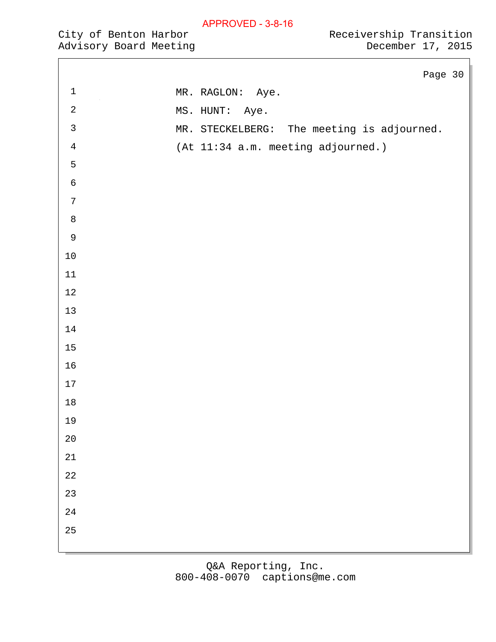Advisory Board Meeting

 $\Box$ 

|                | Page 30                                    |
|----------------|--------------------------------------------|
| $\mathbf 1$    | MR. RAGLON: Aye.                           |
| $\sqrt{2}$     | MS. HUNT: Aye.                             |
| $\mathfrak{Z}$ | MR. STECKELBERG: The meeting is adjourned. |
| $\,4$          | (At 11:34 a.m. meeting adjourned.)         |
| 5              |                                            |
| $\epsilon$     |                                            |
| $\sqrt{ }$     |                                            |
| $\,8\,$        |                                            |
| $\mathsf 9$    |                                            |
| $10\,$         |                                            |
| $11\,$         |                                            |
| $12\,$         |                                            |
| $13$           |                                            |
| $14\,$         |                                            |
| $15\,$         |                                            |
| 16             |                                            |
| $17\,$         |                                            |
| $18\,$         |                                            |
| 19             |                                            |
| $20\,$         |                                            |
| 21             |                                            |
| $2\sqrt{2}$    |                                            |
| 23             |                                            |
| 24             |                                            |
| 25             |                                            |
|                |                                            |